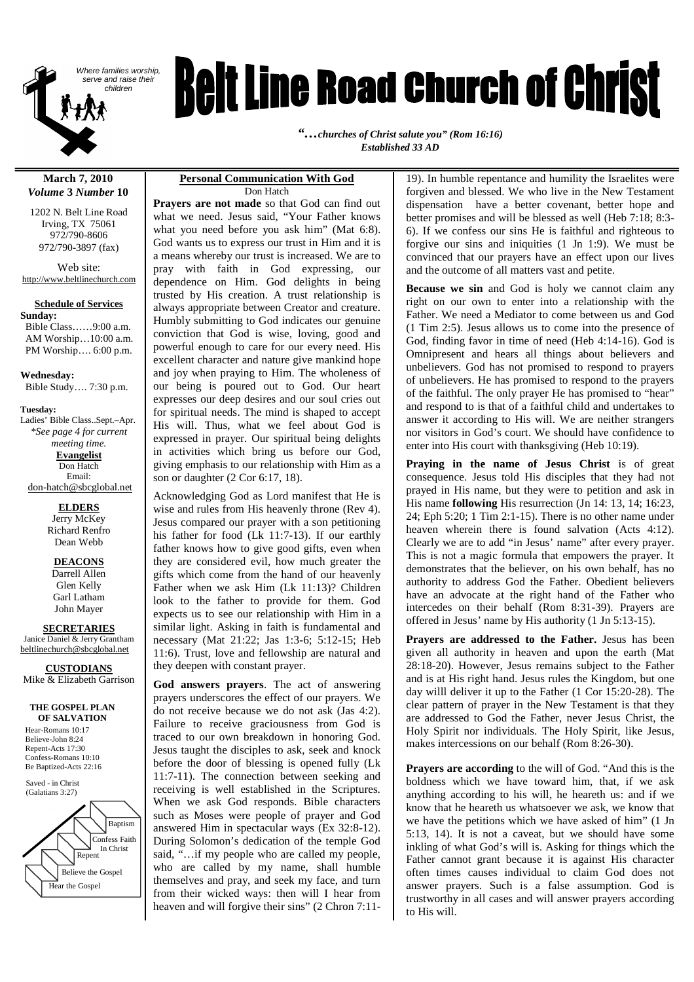

# **Reit Line Road Church of Christ**

*"…churches of Christ salute you" (Rom 16:16) Established 33 AD*

#### **March 7, 2010** *Volume* **3** *Number* **10**

1202 N. Belt Line Road Irving, TX 75061 972/790-8606 972/790-3897 (fax)

Web site: http://www.beltlinechurch.com

#### **Schedule of Services**

**Sunday:** Bible Class……9:00 a.m. AM Worship…10:00 a.m. PM Worship…. 6:00 p.m.

**Wednesday:** Bible Study…. 7:30 p.m.

**Tuesday:** Ladies' Bible Class..Sept.–Apr. *\*See page 4 for current meeting time.* **Evangelist** Don Hatch Email: don-hatch@sbcglobal.net

# **ELDERS**

Jerry McKey Richard Renfro Dean Webb

#### **DEACONS**

Darrell Allen Glen Kelly Garl Latham John Mayer

#### **SECRETARIES**

Janice Daniel & Jerry Grantham beltlinechurch@sbcglobal.net

#### **CUSTODIANS**

Mike & Elizabeth Garrison

#### **THE GOSPEL PLAN OF SALVATION**

Hear-Romans 10:17 Believe-John 8:24 Repent-Acts 17:30 Confess-Romans 10:10 Be Baptized-Acts 22:16

Saved - in Christ (Galatians 3:27)



#### **Personal Communication With God** Don Hatch

**Prayers are not made** so that God can find out what we need. Jesus said, "Your Father knows what you need before you ask him" (Mat 6:8). God wants us to express our trust in Him and it is a means whereby our trust is increased. We are to pray with faith in God expressing, our dependence on Him. God delights in being trusted by His creation. A trust relationship is always appropriate between Creator and creature. Humbly submitting to God indicates our genuine conviction that God is wise, loving, good and powerful enough to care for our every need. His excellent character and nature give mankind hope and joy when praying to Him. The wholeness of our being is poured out to God. Our heart expresses our deep desires and our soul cries out for spiritual needs. The mind is shaped to accept His will. Thus, what we feel about God is expressed in prayer. Our spiritual being delights in activities which bring us before our God, giving emphasis to our relationship with Him as a son or daughter (2 Cor 6:17, 18).

Acknowledging God as Lord manifest that He is wise and rules from His heavenly throne (Rev 4). Jesus compared our prayer with a son petitioning his father for food (Lk 11:7-13). If our earthly father knows how to give good gifts, even when they are considered evil, how much greater the gifts which come from the hand of our heavenly Father when we ask Him (Lk 11:13)? Children look to the father to provide for them. God expects us to see our relationship with Him in a similar light. Asking in faith is fundamental and necessary (Mat 21:22; Jas 1:3-6; 5:12-15; Heb 11:6). Trust, love and fellowship are natural and they deepen with constant prayer.

**God answers prayers**. The act of answering prayers underscores the effect of our prayers. We do not receive because we do not ask (Jas 4:2). Failure to receive graciousness from God is traced to our own breakdown in honoring God. Jesus taught the disciples to ask, seek and knock before the door of blessing is opened fully (Lk 11:7-11). The connection between seeking and receiving is well established in the Scriptures. When we ask God responds. Bible characters such as Moses were people of prayer and God answered Him in spectacular ways (Ex 32:8-12). During Solomon's dedication of the temple God said, "…if my people who are called my people, who are called by my name, shall humble themselves and pray, and seek my face, and turn from their wicked ways: then will I hear from heaven and will forgive their sins" (2 Chron 7:11-

19). In humble repentance and humility the Israelites were forgiven and blessed. We who live in the New Testament dispensation have a better covenant, better hope and better promises and will be blessed as well (Heb 7:18; 8:3- 6). If we confess our sins He is faithful and righteous to forgive our sins and iniquities (1 Jn 1:9). We must be convinced that our prayers have an effect upon our lives and the outcome of all matters vast and petite.

**Because we sin** and God is holy we cannot claim any right on our own to enter into a relationship with the Father. We need a Mediator to come between us and God (1 Tim 2:5). Jesus allows us to come into the presence of God, finding favor in time of need (Heb 4:14-16). God is Omnipresent and hears all things about believers and unbelievers. God has not promised to respond to prayers of unbelievers. He has promised to respond to the prayers of the faithful. The only prayer He has promised to "hear" and respond to is that of a faithful child and undertakes to answer it according to His will. We are neither strangers nor visitors in God's court. We should have confidence to enter into His court with thanksgiving (Heb 10:19).

**Praying in the name of Jesus Christ** is of great consequence. Jesus told His disciples that they had not prayed in His name, but they were to petition and ask in His name **following** His resurrection (Jn 14: 13, 14; 16:23, 24; Eph 5:20; 1 Tim 2:1-15). There is no other name under heaven wherein there is found salvation (Acts 4:12). Clearly we are to add "in Jesus' name" after every prayer. This is not a magic formula that empowers the prayer. It demonstrates that the believer, on his own behalf, has no authority to address God the Father. Obedient believers have an advocate at the right hand of the Father who intercedes on their behalf (Rom 8:31-39). Prayers are offered in Jesus' name by His authority (1 Jn 5:13-15).

**Prayers are addressed to the Father.** Jesus has been given all authority in heaven and upon the earth (Mat 28:18-20). However, Jesus remains subject to the Father and is at His right hand. Jesus rules the Kingdom, but one day willl deliver it up to the Father (1 Cor 15:20-28). The clear pattern of prayer in the New Testament is that they are addressed to God the Father, never Jesus Christ, the Holy Spirit nor individuals. The Holy Spirit, like Jesus, makes intercessions on our behalf (Rom 8:26-30).

**Prayers are according** to the will of God. "And this is the boldness which we have toward him, that, if we ask anything according to his will, he heareth us: and if we know that he heareth us whatsoever we ask, we know that we have the petitions which we have asked of him" (1 Jn 5:13, 14). It is not a caveat, but we should have some inkling of what God's will is. Asking for things which the Father cannot grant because it is against His character often times causes individual to claim God does not answer prayers. Such is a false assumption. God is trustworthy in all cases and will answer prayers according to His will.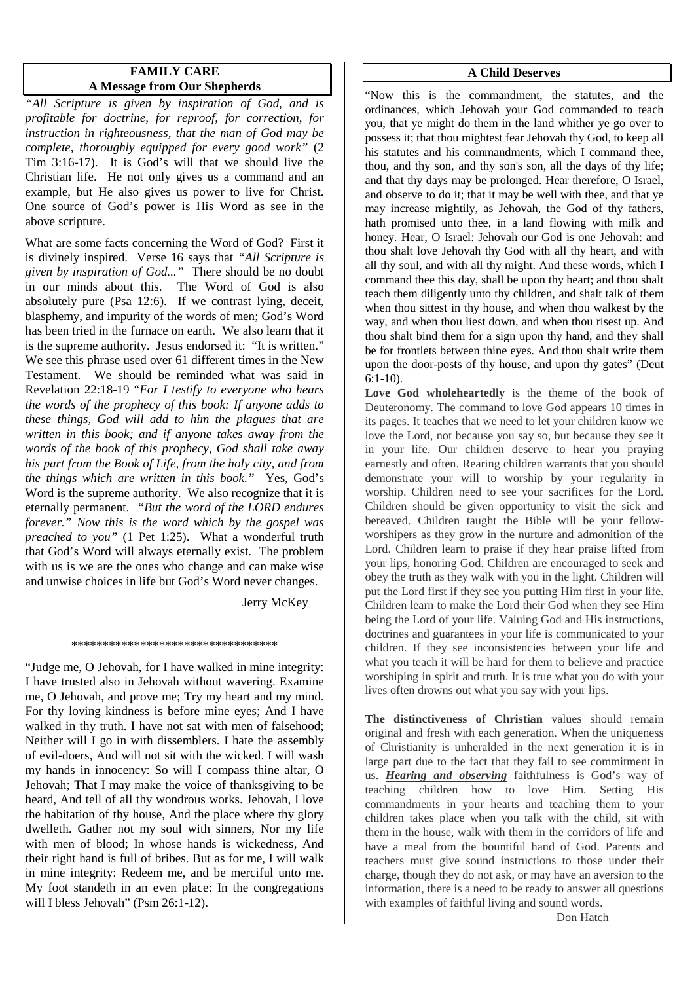# **FAMILY CARE A Message from Our Shepherds**

*"All Scripture is given by inspiration of God, and is profitable for doctrine, for reproof, for correction, for instruction in righteousness, that the man of God may be complete, thoroughly equipped for every good work"* (2 Tim 3:16-17). It is God's will that we should live the Christian life. He not only gives us a command and an example, but He also gives us power to live for Christ. One source of God's power is His Word as see in the above scripture.

What are some facts concerning the Word of God? First it is divinely inspired. Verse 16 says that *"All Scripture is given by inspiration of God..."* There should be no doubt in our minds about this. The Word of God is also absolutely pure (Psa 12:6). If we contrast lying, deceit, blasphemy, and impurity of the words of men; God's Word has been tried in the furnace on earth. We also learn that it is the supreme authority. Jesus endorsed it: "It is written." We see this phrase used over 61 different times in the New Testament. We should be reminded what was said in Revelation 22:18-19 "*For I testify to everyone who hears the words of the prophecy of this book: If anyone adds to these things, God will add to him the plagues that are written in this book; and if anyone takes away from the words of the book of this prophecy, God shall take away his part from the Book of Life, from the holy city, and from the things which are written in this book."* Yes, God's Word is the supreme authority. We also recognize that it is eternally permanent. *"But the word of the LORD endures forever." Now this is the word which by the gospel was preached to you"* (1 Pet 1:25). What a wonderful truth that God's Word will always eternally exist. The problem with us is we are the ones who change and can make wise and unwise choices in life but God's Word never changes.

Jerry McKey

#### \*\*\*\*\*\*\*\*\*\*\*\*\*\*\*\*\*\*\*\*\*\*\*\*\*\*\*\*\*\*\*\*\*

"Judge me, O Jehovah, for I have walked in mine integrity: I have trusted also in Jehovah without wavering. Examine me, O Jehovah, and prove me; Try my heart and my mind. For thy loving kindness is before mine eyes; And I have walked in thy truth. I have not sat with men of falsehood; Neither will I go in with dissemblers. I hate the assembly of evil-doers, And will not sit with the wicked. I will wash my hands in innocency: So will I compass thine altar, O Jehovah; That I may make the voice of thanksgiving to be heard, And tell of all thy wondrous works. Jehovah, I love the habitation of thy house, And the place where thy glory dwelleth. Gather not my soul with sinners, Nor my life with men of blood; In whose hands is wickedness, And their right hand is full of bribes. But as for me, I will walk in mine integrity: Redeem me, and be merciful unto me. My foot standeth in an even place: In the congregations will I bless Jehovah" (Psm 26:1-12).

#### **A Child Deserves**

"Now this is the commandment, the statutes, and the ordinances, which Jehovah your God commanded to teach you, that ye might do them in the land whither ye go over to possess it; that thou mightest fear Jehovah thy God, to keep all his statutes and his commandments, which I command thee, thou, and thy son, and thy son's son, all the days of thy life; and that thy days may be prolonged. Hear therefore, O Israel, and observe to do it; that it may be well with thee, and that ye may increase mightily, as Jehovah, the God of thy fathers, hath promised unto thee, in a land flowing with milk and honey. Hear, O Israel: Jehovah our God is one Jehovah: and thou shalt love Jehovah thy God with all thy heart, and with all thy soul, and with all thy might. And these words, which I command thee this day, shall be upon thy heart; and thou shalt teach them diligently unto thy children, and shalt talk of them when thou sittest in thy house, and when thou walkest by the way, and when thou liest down, and when thou risest up. And thou shalt bind them for a sign upon thy hand, and they shall be for frontlets between thine eyes. And thou shalt write them upon the door-posts of thy house, and upon thy gates" (Deut 6:1-10).

**Love God wholeheartedly** is the theme of the book of Deuteronomy. The command to love God appears 10 times in its pages. It teaches that we need to let your children know we love the Lord, not because you say so, but because they see it in your life. Our children deserve to hear you praying earnestly and often. Rearing children warrants that you should demonstrate your will to worship by your regularity in worship. Children need to see your sacrifices for the Lord. Children should be given opportunity to visit the sick and bereaved. Children taught the Bible will be your fellowworshipers as they grow in the nurture and admonition of the Lord. Children learn to praise if they hear praise lifted from your lips, honoring God. Children are encouraged to seek and obey the truth as they walk with you in the light. Children will put the Lord first if they see you putting Him first in your life. Children learn to make the Lord their God when they see Him being the Lord of your life. Valuing God and His instructions, doctrines and guarantees in your life is communicated to your children. If they see inconsistencies between your life and what you teach it will be hard for them to believe and practice worshiping in spirit and truth. It is true what you do with your lives often drowns out what you say with your lips.

**The distinctiveness of Christian** values should remain original and fresh with each generation. When the uniqueness of Christianity is unheralded in the next generation it is in large part due to the fact that they fail to see commitment in us. *Hearing and observing* faithfulness is God's way of teaching children how to love Him. Setting His commandments in your hearts and teaching them to your children takes place when you talk with the child, sit with them in the house, walk with them in the corridors of life and have a meal from the bountiful hand of God. Parents and teachers must give sound instructions to those under their charge, though they do not ask, or may have an aversion to the information, there is a need to be ready to answer all questions with examples of faithful living and sound words.

Don Hatch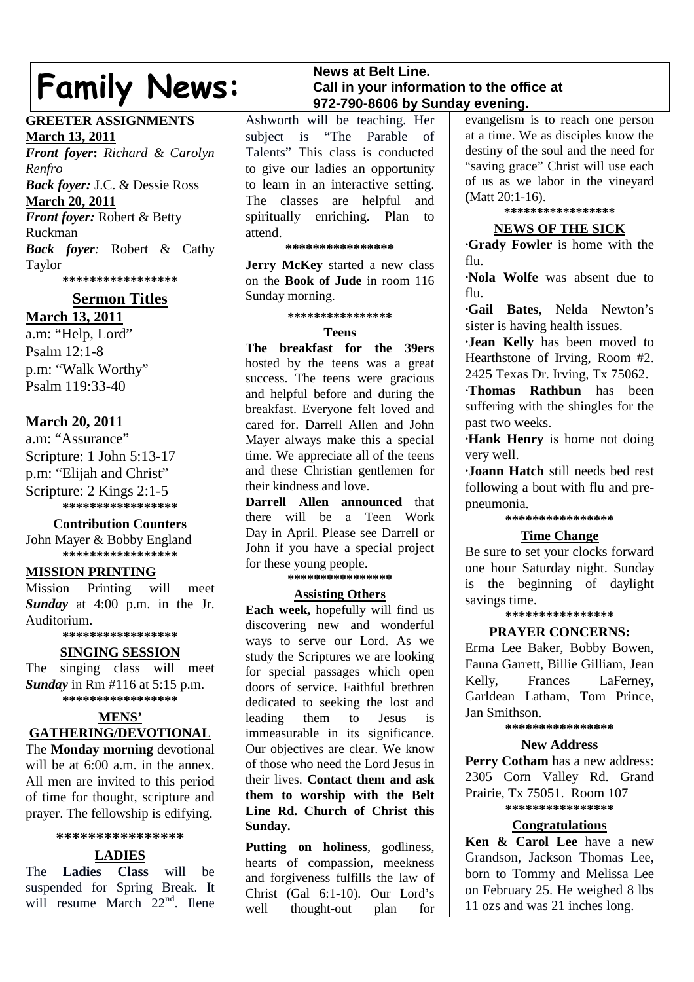# **Family News:**

# **GREETER ASSIGNMENTS March 13, 2011**

*Front foyer***:** *Richard & Carolyn Renfro Back foyer:* J.C. & Dessie Ross **March 20, 2011** *Front foyer:* Robert & Betty Ruckman *Back foyer:* Robert & Cathy Taylor **\*\*\*\*\*\*\*\*\*\*\*\*\*\*\*\*\***

# **Sermon Titles March 13, 2011**

a.m: "Help, Lord" Psalm 12:1-8 p.m: "Walk Worthy" Psalm 119:33-40

# **March 20, 2011**

a.m: "Assurance" Scripture: 1 John 5:13-17 p.m: "Elijah and Christ" Scripture: 2 Kings 2:1-5 **\*\*\*\*\*\*\*\*\*\*\*\*\*\*\*\*\***

# **Contribution Counters**

John Mayer & Bobby England **\*\*\*\*\*\*\*\*\*\*\*\*\*\*\*\*\***

# **MISSION PRINTING**

Mission Printing will meet *Sunday* at 4:00 p.m. in the Jr. Auditorium.

# **\*\*\*\*\*\*\*\*\*\*\*\*\*\*\*\*\***

# **SINGING SESSION**

The singing class will meet *Sunday* in Rm #116 at 5:15 p.m. **\*\*\*\*\*\*\*\*\*\*\*\*\*\*\*\*\***

# **MENS'**

# **GATHERING/DEVOTIONAL**

The **Monday morning** devotional will be at 6:00 a.m. in the annex. All men are invited to this period of time for thought, scripture and prayer. The fellowship is edifying.

# **\*\*\*\*\*\*\*\*\*\*\*\*\*\*\*\***

# **LADIES**

The **Ladies Class** will be suspended for Spring Break. It will resume March 22<sup>nd</sup>. Ilene

# **News at Belt Line. Call in your information to the office at 972-790-8606 by Sunday evening.**

Ashworth will be teaching. Her subject is "The Parable of Talents" This class is conducted to give our ladies an opportunity to learn in an interactive setting. The classes are helpful and spiritually enriching. Plan to attend.

# **\*\*\*\*\*\*\*\*\*\*\*\*\*\*\*\***

**Jerry McKey** started a new class on the **Book of Jude** in room 116 Sunday morning.

#### **\*\*\*\*\*\*\*\*\*\*\*\*\*\*\*\***

#### **Teens**

**The breakfast for the 39ers** hosted by the teens was a great success. The teens were gracious and helpful before and during the breakfast. Everyone felt loved and cared for. Darrell Allen and John Mayer always make this a special time. We appreciate all of the teens and these Christian gentlemen for their kindness and love.

**Darrell Allen announced** that there will be a Teen Work Day in April. Please see Darrell or John if you have a special project for these young people.

#### **\*\*\*\*\*\*\*\*\*\*\*\*\*\*\*\***

# **Assisting Others**

**Each week,** hopefully will find us discovering new and wonderful ways to serve our Lord. As we study the Scriptures we are looking for special passages which open doors of service. Faithful brethren dedicated to seeking the lost and leading them to Jesus is immeasurable in its significance. Our objectives are clear. We know of those who need the Lord Jesus in their lives. **Contact them and ask them to worship with the Belt Line Rd. Church of Christ this Sunday.**

**Putting on holiness**, godliness, hearts of compassion, meekness and forgiveness fulfills the law of Christ (Gal 6:1-10). Our Lord's well thought-out plan for

evangelism is to reach one person at a time. We as disciples know the destiny of the soul and the need for "saving grace" Christ will use each of us as we labor in the vineyard **(**Matt 20:1-16).

# **\*\*\*\*\*\*\*\*\*\*\*\*\*\*\*\*\***

# **NEWS OF THE SICK**

**∙Grady Fowler** is home with the flu.

**∙Nola Wolfe** was absent due to flu.

**∙Gail Bates**, Nelda Newton's sister is having health issues.

**∙Jean Kelly** has been moved to Hearthstone of Irving, Room #2. 2425 Texas Dr. Irving, Tx 75062.

**∙Thomas Rathbun** has been suffering with the shingles for the past two weeks.

**∙Hank Henry** is home not doing very well.

**∙Joann Hatch** still needs bed rest following a bout with flu and prepneumonia.

# **\*\*\*\*\*\*\*\*\*\*\*\*\*\*\*\***

# **Time Change**

Be sure to set your clocks forward one hour Saturday night. Sunday is the beginning of daylight savings time.

**\*\*\*\*\*\*\*\*\*\*\*\*\*\*\*\***

# **PRAYER CONCERNS:**

Erma Lee Baker, Bobby Bowen, Fauna Garrett, Billie Gilliam, Jean Kelly, Frances LaFerney, Garldean Latham, Tom Prince, Jan Smithson.

#### **\*\*\*\*\*\*\*\*\*\*\*\*\*\*\*\***

# **New Address**

**Perry Cotham** has a new address: 2305 Corn Valley Rd. Grand Prairie, Tx 75051. Room 107 **\*\*\*\*\*\*\*\*\*\*\*\*\*\*\*\***

# **Congratulations**

**Ken & Carol Lee** have a new Grandson, Jackson Thomas Lee, born to Tommy and Melissa Lee on February 25. He weighed 8 lbs 11 ozs and was 21 inches long.